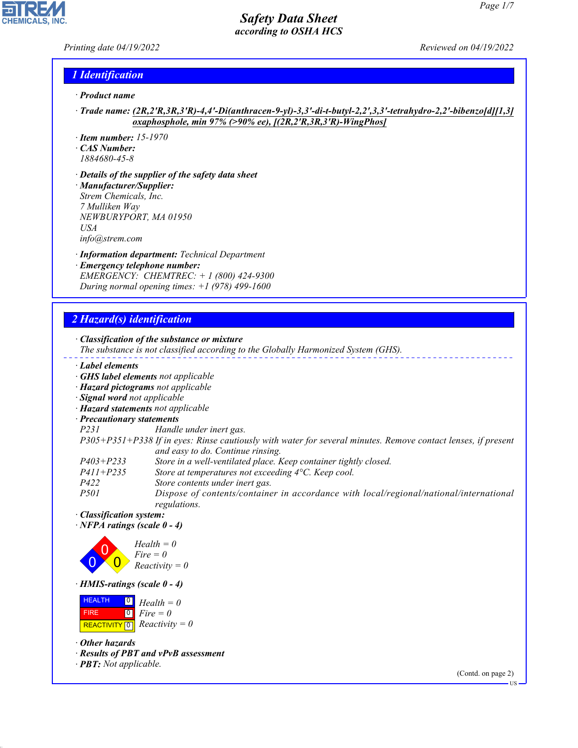## *Printing date 04/19/2022 Reviewed on 04/19/2022*

**CHEMICALS, INC** 

### *1 Identification*

- *· Product name*
- *· Trade name: (2R,2'R,3R,3'R)-4,4'-Di(anthracen-9-yl)-3,3'-di-t-butyl-2,2',3,3'-tetrahydro-2,2'-bibenzo[d][1,3] oxaphosphole, min 97% (>90% ee), [(2R,2'R,3R,3'R)-WingPhos]*
- *· Item number: 15-1970*
- *· CAS Number: 1884680-45-8*
- *· Details of the supplier of the safety data sheet*
- *· Manufacturer/Supplier: Strem Chemicals, Inc. 7 Mulliken Way NEWBURYPORT, MA 01950 USA*
- *info@strem.com*
- *· Information department: Technical Department · Emergency telephone number: EMERGENCY: CHEMTREC: + 1 (800) 424-9300 During normal opening times: +1 (978) 499-1600*

# *2 Hazard(s) identification*

#### *· Classification of the substance or mixture The substance is not classified according to the Globally Harmonized System (GHS). · Label elements · GHS label elements not applicable · Hazard pictograms not applicable · Signal word not applicable · Hazard statements not applicable · Precautionary statements P231 Handle under inert gas. P305+P351+P338 If in eyes: Rinse cautiously with water for several minutes. Remove contact lenses, if present and easy to do. Continue rinsing. P403+P233 Store in a well-ventilated place. Keep container tightly closed. P411+P235 Store at temperatures not exceeding 4°C. Keep cool. P422 Store contents under inert gas. P501 Dispose of contents/container in accordance with local/regional/national/international regulations. · Classification system: · NFPA ratings (scale 0 - 4)* 0 0  $\overline{\mathbf{0}}$ *Health = 0 Fire = 0 Reactivity = 0*

*· HMIS-ratings (scale 0 - 4)*

| <b>HEALTH</b> | $\overline{\mathbf{0}}$ Health = 0                          |
|---------------|-------------------------------------------------------------|
| <b>FIRE</b>   | $\begin{bmatrix} \bullet \\ \bullet \end{bmatrix}$ Fire = 0 |
|               | REACTIVITY $\boxed{0}$ <i>Reactivity</i> = 0                |

*· Other hazards*

44.1.1

- *· Results of PBT and vPvB assessment*
- *· PBT: Not applicable.*

(Contd. on page 2)

US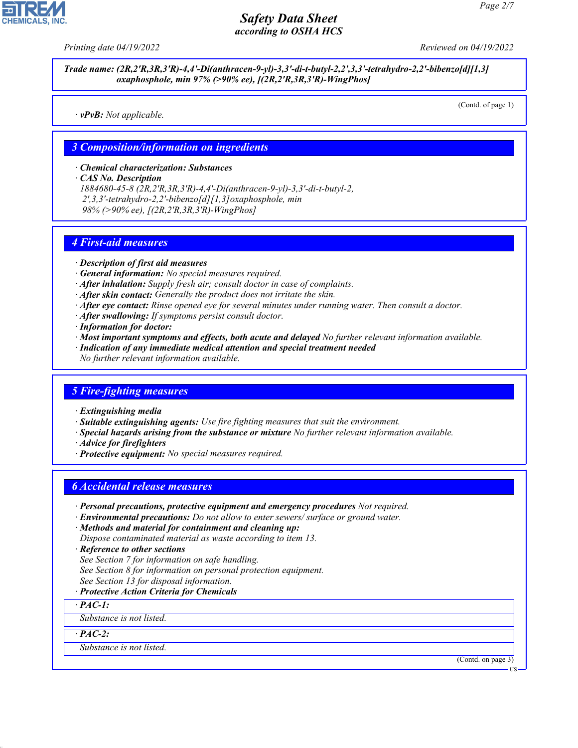

*Trade name: (2R,2'R,3R,3'R)-4,4'-Di(anthracen-9-yl)-3,3'-di-t-butyl-2,2',3,3'-tetrahydro-2,2'-bibenzo[d][1,3] oxaphosphole, min 97% (>90% ee), [(2R,2'R,3R,3'R)-WingPhos]*

*· vPvB: Not applicable.*

(Contd. of page 1)

#### *3 Composition/information on ingredients*

*· Chemical characterization: Substances*

*· CAS No. Description*

*1884680-45-8 (2R,2'R,3R,3'R)-4,4'-Di(anthracen-9-yl)-3,3'-di-t-butyl-2, 2',3,3'-tetrahydro-2,2'-bibenzo[d][1,3]oxaphosphole, min 98% (>90% ee), [(2R,2'R,3R,3'R)-WingPhos]*

### *4 First-aid measures*

- *· Description of first aid measures*
- *· General information: No special measures required.*
- *· After inhalation: Supply fresh air; consult doctor in case of complaints.*
- *· After skin contact: Generally the product does not irritate the skin.*
- *· After eye contact: Rinse opened eye for several minutes under running water. Then consult a doctor.*
- *· After swallowing: If symptoms persist consult doctor.*
- *· Information for doctor:*
- *· Most important symptoms and effects, both acute and delayed No further relevant information available.*
- *· Indication of any immediate medical attention and special treatment needed*
- *No further relevant information available.*

## *5 Fire-fighting measures*

- *· Extinguishing media*
- *· Suitable extinguishing agents: Use fire fighting measures that suit the environment.*
- *· Special hazards arising from the substance or mixture No further relevant information available.*
- *· Advice for firefighters*
- *· Protective equipment: No special measures required.*

## *6 Accidental release measures*

- *· Personal precautions, protective equipment and emergency procedures Not required.*
- *· Environmental precautions: Do not allow to enter sewers/ surface or ground water.*
- *· Methods and material for containment and cleaning up: Dispose contaminated material as waste according to item 13.*
- *· Reference to other sections*
- *See Section 7 for information on safe handling.*
- *See Section 8 for information on personal protection equipment.*
- *See Section 13 for disposal information.*

#### *· Protective Action Criteria for Chemicals*

*· PAC-1:*

*Substance is not listed.*

*· PAC-2:*

44.1.1

*Substance is not listed.*

(Contd. on page 3)

US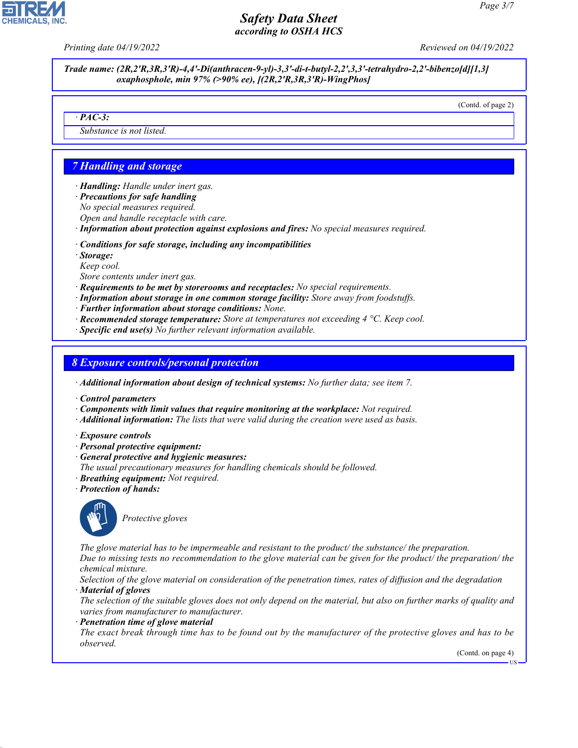*Printing date 04/19/2022 Reviewed on 04/19/2022*

*Trade name: (2R,2'R,3R,3'R)-4,4'-Di(anthracen-9-yl)-3,3'-di-t-butyl-2,2',3,3'-tetrahydro-2,2'-bibenzo[d][1,3] oxaphosphole, min 97% (>90% ee), [(2R,2'R,3R,3'R)-WingPhos]*

(Contd. of page 2)

#### *· PAC-3:*

*Substance is not listed.*

# *7 Handling and storage*

- *· Handling: Handle under inert gas.*
- *· Precautions for safe handling*
- *No special measures required.*
- *Open and handle receptacle with care.*
- *· Information about protection against explosions and fires: No special measures required.*
- *· Conditions for safe storage, including any incompatibilities*
- *· Storage:*
- *Keep cool.*
- *Store contents under inert gas.*
- *· Requirements to be met by storerooms and receptacles: No special requirements.*
- *· Information about storage in one common storage facility: Store away from foodstuffs.*
- *· Further information about storage conditions: None.*
- *· Recommended storage temperature: Store at temperatures not exceeding 4 °C. Keep cool.*
- *· Specific end use(s) No further relevant information available.*

### *8 Exposure controls/personal protection*

*· Additional information about design of technical systems: No further data; see item 7.*

- *· Control parameters*
- *· Components with limit values that require monitoring at the workplace: Not required.*
- *· Additional information: The lists that were valid during the creation were used as basis.*
- *· Exposure controls*
- *· Personal protective equipment:*
- *· General protective and hygienic measures:*
- *The usual precautionary measures for handling chemicals should be followed.*
- *· Breathing equipment: Not required.*
- *· Protection of hands:*



44.1.1

\_S*Protective gloves*

*The glove material has to be impermeable and resistant to the product/ the substance/ the preparation. Due to missing tests no recommendation to the glove material can be given for the product/ the preparation/ the chemical mixture.*

*Selection of the glove material on consideration of the penetration times, rates of diffusion and the degradation · Material of gloves*

*The selection of the suitable gloves does not only depend on the material, but also on further marks of quality and varies from manufacturer to manufacturer.*

#### *· Penetration time of glove material*

*The exact break through time has to be found out by the manufacturer of the protective gloves and has to be observed.*

(Contd. on page 4)

US

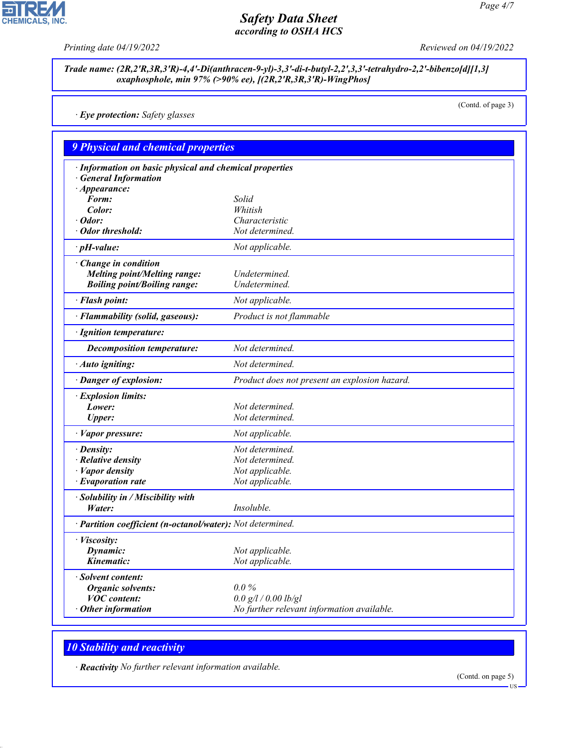고

**CHEMICALS, INC.** 

*Printing date 04/19/2022 Reviewed on 04/19/2022*

#### *Trade name: (2R,2'R,3R,3'R)-4,4'-Di(anthracen-9-yl)-3,3'-di-t-butyl-2,2',3,3'-tetrahydro-2,2'-bibenzo[d][1,3] oxaphosphole, min 97% (>90% ee), [(2R,2'R,3R,3'R)-WingPhos]*

*· Eye protection: Safety glasses*

(Contd. of page 3)

| <b>9 Physical and chemical properties</b>                                                               |                                               |
|---------------------------------------------------------------------------------------------------------|-----------------------------------------------|
| · Information on basic physical and chemical properties<br>· General Information<br>$\cdot$ Appearance: |                                               |
| Form:                                                                                                   | Solid                                         |
| Color:                                                                                                  | Whitish                                       |
| $\cdot$ Odor:                                                                                           | Characteristic                                |
| · Odor threshold:                                                                                       | Not determined.                               |
| $\cdot$ pH-value:                                                                                       | Not applicable.                               |
| · Change in condition<br><b>Melting point/Melting range:</b><br><b>Boiling point/Boiling range:</b>     | Undetermined.<br>Undetermined.                |
| · Flash point:                                                                                          | Not applicable.                               |
| · Flammability (solid, gaseous):                                                                        | Product is not flammable                      |
| · Ignition temperature:                                                                                 |                                               |
| <b>Decomposition temperature:</b>                                                                       | Not determined.                               |
| $\cdot$ Auto igniting:                                                                                  | Not determined.                               |
| · Danger of explosion:                                                                                  | Product does not present an explosion hazard. |
| · Explosion limits:                                                                                     |                                               |
| Lower:                                                                                                  | Not determined.                               |
| <b>Upper:</b>                                                                                           | Not determined.                               |
| · Vapor pressure:                                                                                       | Not applicable.                               |
| $\cdot$ Density:                                                                                        | Not determined.                               |
| $\cdot$ Relative density                                                                                | Not determined.                               |
| $\cdot$ <i>Vapor density</i>                                                                            | Not applicable.                               |
| $\cdot$ Evaporation rate                                                                                | Not applicable.                               |
| · Solubility in / Miscibility with<br>Water:                                                            | Insoluble.                                    |
| · Partition coefficient (n-octanol/water): Not determined.                                              |                                               |
| · Viscosity:                                                                                            |                                               |
| Dynamic:                                                                                                | Not applicable.                               |
| Kinematic:                                                                                              | Not applicable.                               |
| · Solvent content:                                                                                      |                                               |
| <b>Organic solvents:</b>                                                                                | $0.0\%$                                       |
| <b>VOC</b> content:                                                                                     | 0.0 g/l / 0.00 lb/gl                          |
| $\cdot$ Other information                                                                               | No further relevant information available.    |

# *10 Stability and reactivity*

44.1.1

*· Reactivity No further relevant information available.*

(Contd. on page 5)

US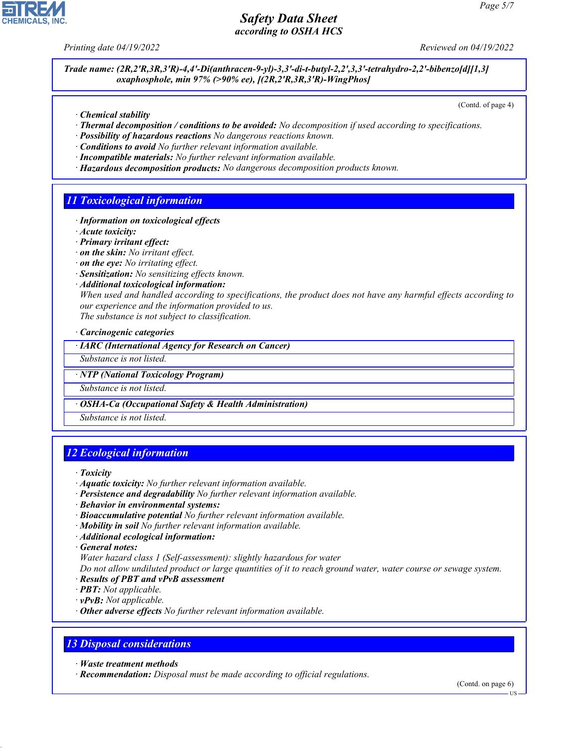*Printing date 04/19/2022 Reviewed on 04/19/2022*

*Trade name: (2R,2'R,3R,3'R)-4,4'-Di(anthracen-9-yl)-3,3'-di-t-butyl-2,2',3,3'-tetrahydro-2,2'-bibenzo[d][1,3] oxaphosphole, min 97% (>90% ee), [(2R,2'R,3R,3'R)-WingPhos]*

(Contd. of page 4)

- *· Chemical stability*
- *· Thermal decomposition / conditions to be avoided: No decomposition if used according to specifications.*
- *· Possibility of hazardous reactions No dangerous reactions known.*
- *· Conditions to avoid No further relevant information available.*
- *· Incompatible materials: No further relevant information available.*
- *· Hazardous decomposition products: No dangerous decomposition products known.*

# *11 Toxicological information*

- *· Information on toxicological effects*
- *· Acute toxicity:*
- *· Primary irritant effect:*
- *· on the skin: No irritant effect.*
- *· on the eye: No irritating effect.*
- *· Sensitization: No sensitizing effects known.*
- *· Additional toxicological information:*

*When used and handled according to specifications, the product does not have any harmful effects according to our experience and the information provided to us. The substance is not subject to classification.*

*· Carcinogenic categories*

*· IARC (International Agency for Research on Cancer)*

*Substance is not listed.*

*· NTP (National Toxicology Program)*

*Substance is not listed.*

#### *· OSHA-Ca (Occupational Safety & Health Administration)*

*Substance is not listed.*

# *12 Ecological information*

- *· Aquatic toxicity: No further relevant information available.*
- *· Persistence and degradability No further relevant information available.*
- *· Behavior in environmental systems:*
- *· Bioaccumulative potential No further relevant information available.*
- *· Mobility in soil No further relevant information available.*
- *· Additional ecological information:*

*· General notes:*

*Water hazard class 1 (Self-assessment): slightly hazardous for water*

*Do not allow undiluted product or large quantities of it to reach ground water, water course or sewage system. · Results of PBT and vPvB assessment*

- *· PBT: Not applicable.*
- *· vPvB: Not applicable.*
- *· Other adverse effects No further relevant information available.*

## *13 Disposal considerations*

*· Waste treatment methods*

44.1.1

*· Recommendation: Disposal must be made according to official regulations.*

(Contd. on page 6)



*<sup>·</sup> Toxicity*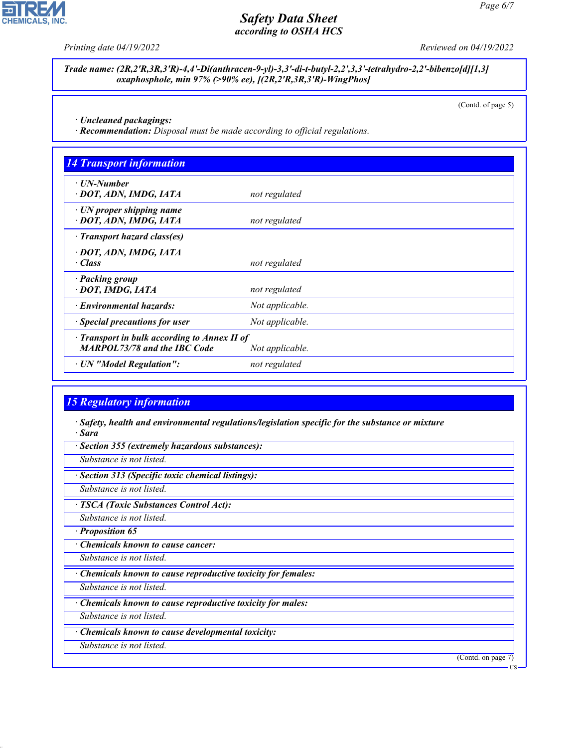

**CHEMICALS, INC.** 

*Trade name: (2R,2'R,3R,3'R)-4,4'-Di(anthracen-9-yl)-3,3'-di-t-butyl-2,2',3,3'-tetrahydro-2,2'-bibenzo[d][1,3] oxaphosphole, min 97% (>90% ee), [(2R,2'R,3R,3'R)-WingPhos]*

(Contd. of page 5)

*· Uncleaned packagings:*

*· Recommendation: Disposal must be made according to official regulations.*

| · UN-Number                                               |                 |  |
|-----------------------------------------------------------|-----------------|--|
| · DOT, ADN, IMDG, IATA                                    | not regulated   |  |
| $\cdot$ UN proper shipping name<br>· DOT, ADN, IMDG, IATA | not regulated   |  |
| · Transport hazard class(es)                              |                 |  |
| · DOT, ADN, IMDG, IATA                                    |                 |  |
| · Class                                                   | not regulated   |  |
| · Packing group                                           |                 |  |
| · DOT, IMDG, IATA                                         | not regulated   |  |
| · Environmental hazards:                                  | Not applicable. |  |
| · Special precautions for user                            | Not applicable. |  |
| $\cdot$ Transport in bulk according to Annex II of        |                 |  |
| <b>MARPOL73/78 and the IBC Code</b>                       | Not applicable. |  |
| · UN "Model Regulation":                                  | not regulated   |  |

# *15 Regulatory information*

*· Safety, health and environmental regulations/legislation specific for the substance or mixture · Sara*

*· Section 355 (extremely hazardous substances):*

*Substance is not listed.*

*· Section 313 (Specific toxic chemical listings):*

*Substance is not listed.*

*· TSCA (Toxic Substances Control Act):*

*Substance is not listed.*

*· Proposition 65*

*· Chemicals known to cause cancer:*

*Substance is not listed.*

*· Chemicals known to cause reproductive toxicity for females:*

*Substance is not listed.*

*· Chemicals known to cause reproductive toxicity for males:*

*Substance is not listed.*

*· Chemicals known to cause developmental toxicity:*

*Substance is not listed.*

44.1.1

(Contd. on page 7)

US